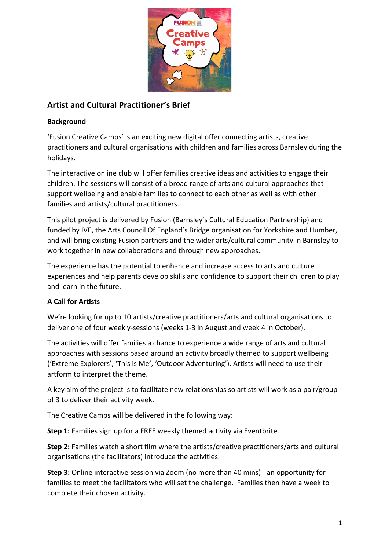

# **Artist and Cultural Practitioner's Brief**

## **Background**

'Fusion Creative Camps' is an exciting new digital offer connecting artists, creative practitioners and cultural organisations with children and families across Barnsley during the holidays.

The interactive online club will offer families creative ideas and activities to engage their children. The sessions will consist of a broad range of arts and cultural approaches that support wellbeing and enable families to connect to each other as well as with other families and artists/cultural practitioners.

This pilot project is delivered by Fusion (Barnsley's Cultural Education Partnership) and funded by IVE, the Arts Council Of England's Bridge organisation for Yorkshire and Humber, and will bring existing Fusion partners and the wider arts/cultural community in Barnsley to work together in new collaborations and through new approaches.

The experience has the potential to enhance and increase access to arts and culture experiences and help parents develop skills and confidence to support their children to play and learn in the future.

# **A Call for Artists**

We're looking for up to 10 artists/creative practitioners/arts and cultural organisations to deliver one of four weekly-sessions (weeks 1-3 in August and week 4 in October).

The activities will offer families a chance to experience a wide range of arts and cultural approaches with sessions based around an activity broadly themed to support wellbeing ('Extreme Explorers', 'This is Me', 'Outdoor Adventuring'). Artists will need to use their artform to interpret the theme.

A key aim of the project is to facilitate new relationships so artists will work as a pair/group of 3 to deliver their activity week.

The Creative Camps will be delivered in the following way:

**Step 1:** Families sign up for a FREE weekly themed activity via Eventbrite.

**Step 2:** Families watch a short film where the artists/creative practitioners/arts and cultural organisations (the facilitators) introduce the activities.

**Step 3:** Online interactive session via Zoom (no more than 40 mins) - an opportunity for families to meet the facilitators who will set the challenge. Families then have a week to complete their chosen activity.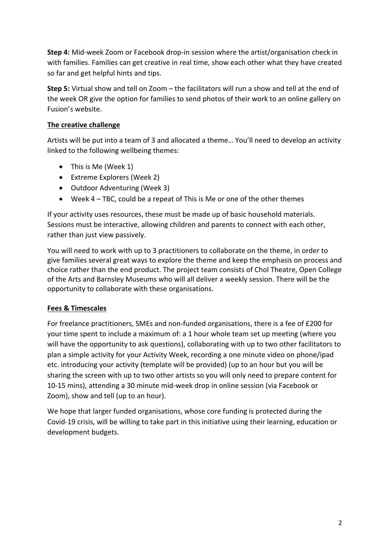**Step 4:** Mid-week Zoom or Facebook drop-in session where the artist/organisation check in with families. Families can get creative in real time, show each other what they have created so far and get helpful hints and tips.

**Step 5:** Virtual show and tell on Zoom – the facilitators will run a show and tell at the end of the week OR give the option for families to send photos of their work to an online gallery on Fusion's website.

## **The creative challenge**

Artists will be put into a team of 3 and allocated a theme… You'll need to develop an activity linked to the following wellbeing themes:

- This is Me (Week 1)
- Extreme Explorers (Week 2)
- Outdoor Adventuring (Week 3)
- Week 4 TBC, could be a repeat of This is Me or one of the other themes

If your activity uses resources, these must be made up of basic household materials. Sessions must be interactive, allowing children and parents to connect with each other, rather than just view passively.

You will need to work with up to 3 practitioners to collaborate on the theme, in order to give families several great ways to explore the theme and keep the emphasis on process and choice rather than the end product. The project team consists of Chol Theatre, Open College of the Arts and Barnsley Museums who will all deliver a weekly session. There will be the opportunity to collaborate with these organisations.

## **Fees & Timescales**

For freelance practitioners, SMEs and non-funded organisations, there is a fee of £200 for your time spent to include a maximum of: a 1 hour whole team set up meeting (where you will have the opportunity to ask questions), collaborating with up to two other facilitators to plan a simple activity for your Activity Week, recording a one minute video on phone/ipad etc. introducing your activity (template will be provided) (up to an hour but you will be sharing the screen with up to two other artists so you will only need to prepare content for 10-15 mins), attending a 30 minute mid-week drop in online session (via Facebook or Zoom), show and tell (up to an hour).

We hope that larger funded organisations, whose core funding is protected during the Covid-19 crisis, will be willing to take part in this initiative using their learning, education or development budgets.